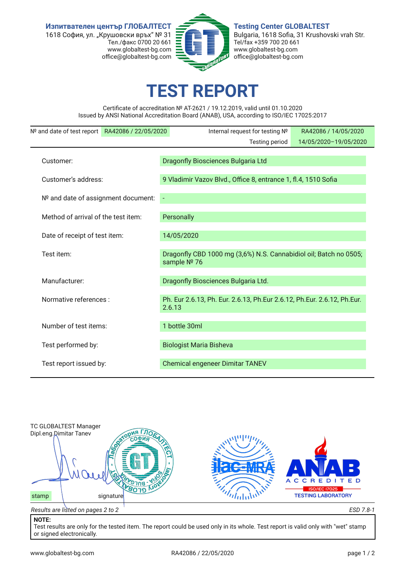**Изпитвателен център ГЛОБАЛТЕСТ** 1618 София, ул. "Крушовски връх" № 31 .<br>Тел./факс 0700 20 661 www.globaltest-bg.com office@globaltest-bg.com



**Testing Center GLOBALTEST** Bulgaria, 1618 Sofa, 31 Krushovski vrah Str. Tel/fax +359 700 20 661 www.globaltest-bg.com office@globaltest-bg.com

## **TEST REPORT**

Certifcate of accreditation № AT-2621 / 19.12.2019, valid until 01.10.2020 Issued by ANSI National Accreditation Board (ANAB), USA, according to ISO/IEC 17025:2017

| Nº and date of test report RA42086 / 22/05/2020 |  | Internal request for testing Nº                                                   | RA42086 / 14/05/2020  |  |  |  |  |
|-------------------------------------------------|--|-----------------------------------------------------------------------------------|-----------------------|--|--|--|--|
|                                                 |  | Testing period                                                                    | 14/05/2020-19/05/2020 |  |  |  |  |
|                                                 |  |                                                                                   |                       |  |  |  |  |
| Customer:                                       |  | Dragonfly Biosciences Bulgaria Ltd                                                |                       |  |  |  |  |
| Customer's address:                             |  |                                                                                   |                       |  |  |  |  |
|                                                 |  | 9 Vladimir Vazov Blvd., Office 8, entrance 1, fl.4, 1510 Sofia                    |                       |  |  |  |  |
| Nº and date of assignment document:             |  |                                                                                   |                       |  |  |  |  |
|                                                 |  |                                                                                   |                       |  |  |  |  |
| Method of arrival of the test item:             |  | Personally                                                                        |                       |  |  |  |  |
|                                                 |  |                                                                                   |                       |  |  |  |  |
| Date of receipt of test item:                   |  | 14/05/2020                                                                        |                       |  |  |  |  |
| Test item:                                      |  |                                                                                   |                       |  |  |  |  |
|                                                 |  | Dragonfly CBD 1000 mg (3,6%) N.S. Cannabidiol oil; Batch no 0505;<br>sample Nº 76 |                       |  |  |  |  |
|                                                 |  |                                                                                   |                       |  |  |  |  |
| Manufacturer:                                   |  | Dragonfly Biosciences Bulgaria Ltd.                                               |                       |  |  |  |  |
|                                                 |  |                                                                                   |                       |  |  |  |  |
| Normative references :                          |  | Ph. Eur 2.6.13, Ph. Eur. 2.6.13, Ph. Eur 2.6.12, Ph. Eur. 2.6.12, Ph. Eur.        |                       |  |  |  |  |
|                                                 |  | 2.6.13                                                                            |                       |  |  |  |  |
| Number of test items:                           |  | 1 bottle 30ml                                                                     |                       |  |  |  |  |
|                                                 |  |                                                                                   |                       |  |  |  |  |
| Test performed by:                              |  | <b>Biologist Maria Bisheva</b>                                                    |                       |  |  |  |  |
|                                                 |  |                                                                                   |                       |  |  |  |  |
| Test report issued by:                          |  | <b>Chemical engeneer Dimitar TANEV</b>                                            |                       |  |  |  |  |
|                                                 |  |                                                                                   |                       |  |  |  |  |



## **NOTE:**

Test results are only for the tested item. The report could be used only in its whole. Test report is valid only with "wet" stamp or signed electronically.